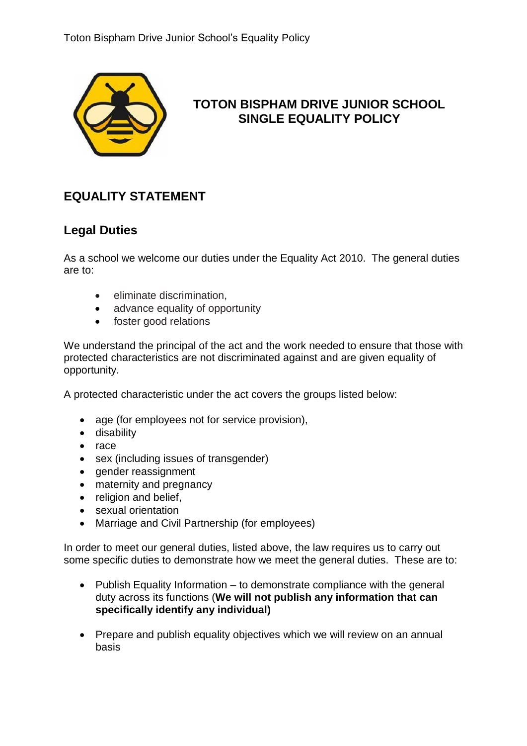

# **TOTON BISPHAM DRIVE JUNIOR SCHOOL SINGLE EQUALITY POLICY**

# **EQUALITY STATEMENT**

## **Legal Duties**

As a school we welcome our duties under the Equality Act 2010. The general duties are to:

- eliminate discrimination,
- advance equality of opportunity
- foster good relations

We understand the principal of the act and the work needed to ensure that those with protected characteristics are not discriminated against and are given equality of opportunity.

A protected characteristic under the act covers the groups listed below:

- age (for employees not for service provision),
- disability
- race
- sex (including issues of transgender)
- gender reassignment
- maternity and pregnancy
- religion and belief,
- sexual orientation
- Marriage and Civil Partnership (for employees)

In order to meet our general duties, listed above, the law requires us to carry out some specific duties to demonstrate how we meet the general duties. These are to:

- Publish Equality Information to demonstrate compliance with the general duty across its functions (**We will not publish any information that can specifically identify any individual)**
- Prepare and publish equality objectives which we will review on an annual basis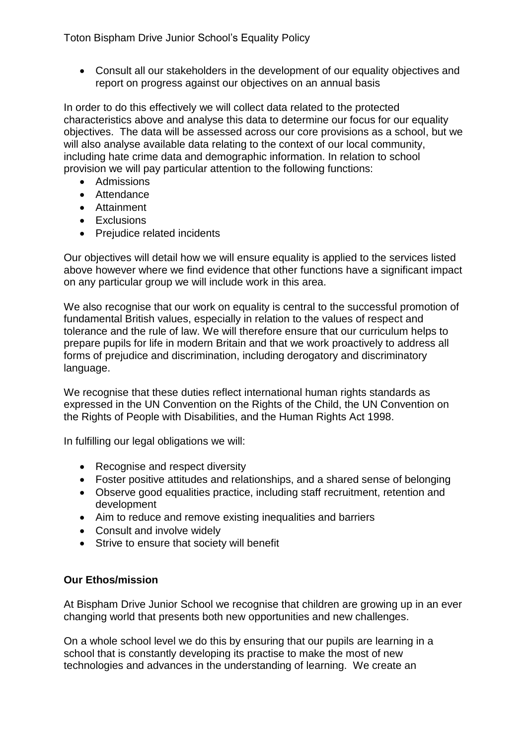Toton Bispham Drive Junior School's Equality Policy

• Consult all our stakeholders in the development of our equality objectives and report on progress against our objectives on an annual basis

In order to do this effectively we will collect data related to the protected characteristics above and analyse this data to determine our focus for our equality objectives. The data will be assessed across our core provisions as a school, but we will also analyse available data relating to the context of our local community, including hate crime data and demographic information. In relation to school provision we will pay particular attention to the following functions:

- Admissions
- Attendance
- Attainment
- Exclusions
- Prejudice related incidents

Our objectives will detail how we will ensure equality is applied to the services listed above however where we find evidence that other functions have a significant impact on any particular group we will include work in this area.

We also recognise that our work on equality is central to the successful promotion of fundamental British values, especially in relation to the values of respect and tolerance and the rule of law. We will therefore ensure that our curriculum helps to prepare pupils for life in modern Britain and that we work proactively to address all forms of prejudice and discrimination, including derogatory and discriminatory language.

We recognise that these duties reflect international human rights standards as expressed in the UN Convention on the Rights of the Child, the UN Convention on the Rights of People with Disabilities, and the Human Rights Act 1998.

In fulfilling our legal obligations we will:

- Recognise and respect diversity
- Foster positive attitudes and relationships, and a shared sense of belonging
- Observe good equalities practice, including staff recruitment, retention and development
- Aim to reduce and remove existing inequalities and barriers
- Consult and involve widely
- Strive to ensure that society will benefit

### **Our Ethos/mission**

At Bispham Drive Junior School we recognise that children are growing up in an ever changing world that presents both new opportunities and new challenges.

On a whole school level we do this by ensuring that our pupils are learning in a school that is constantly developing its practise to make the most of new technologies and advances in the understanding of learning. We create an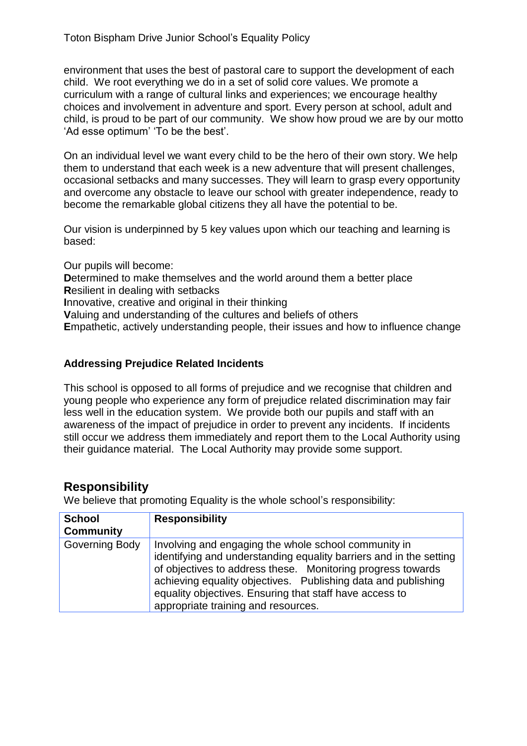environment that uses the best of pastoral care to support the development of each child. We root everything we do in a set of solid core values. We promote a curriculum with a range of cultural links and experiences; we encourage healthy choices and involvement in adventure and sport. Every person at school, adult and child, is proud to be part of our community. We show how proud we are by our motto 'Ad esse optimum' 'To be the best'.

On an individual level we want every child to be the hero of their own story. We help them to understand that each week is a new adventure that will present challenges, occasional setbacks and many successes. They will learn to grasp every opportunity and overcome any obstacle to leave our school with greater independence, ready to become the remarkable global citizens they all have the potential to be.

Our vision is underpinned by 5 key values upon which our teaching and learning is based:

Our pupils will become: **Determined to make themselves and the world around them a better place R**esilient in dealing with setbacks **I**nnovative, creative and original in their thinking **V**aluing and understanding of the cultures and beliefs of others **E**mpathetic, actively understanding people, their issues and how to influence change

### **Addressing Prejudice Related Incidents**

This school is opposed to all forms of prejudice and we recognise that children and young people who experience any form of prejudice related discrimination may fair less well in the education system. We provide both our pupils and staff with an awareness of the impact of prejudice in order to prevent any incidents. If incidents still occur we address them immediately and report them to the Local Authority using their guidance material. The Local Authority may provide some support.

## **Responsibility**

We believe that promoting Equality is the whole school's responsibility:

| <b>School</b><br><b>Community</b> | <b>Responsibility</b>                                                                                                                                                                                                                                                                                                                                        |
|-----------------------------------|--------------------------------------------------------------------------------------------------------------------------------------------------------------------------------------------------------------------------------------------------------------------------------------------------------------------------------------------------------------|
| Governing Body                    | Involving and engaging the whole school community in<br>identifying and understanding equality barriers and in the setting<br>of objectives to address these. Monitoring progress towards<br>achieving equality objectives. Publishing data and publishing<br>equality objectives. Ensuring that staff have access to<br>appropriate training and resources. |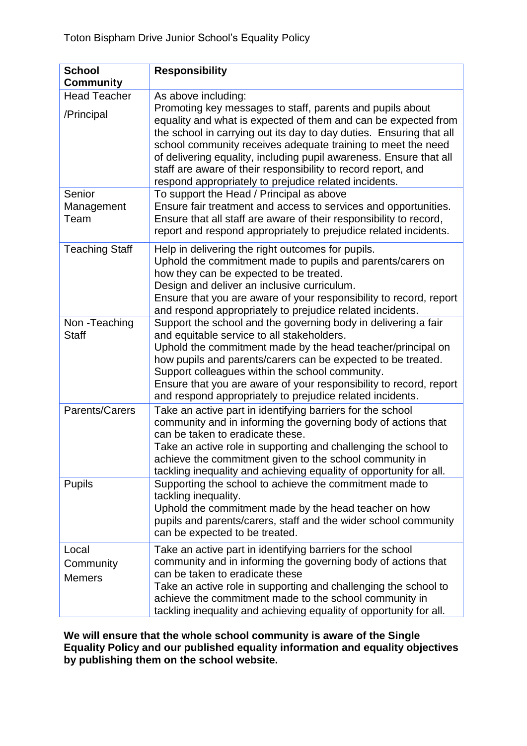| <b>School</b><br><b>Community</b>   | <b>Responsibility</b>                                                                                                                                                                                                                                                                                                                                                                                                                                                                     |
|-------------------------------------|-------------------------------------------------------------------------------------------------------------------------------------------------------------------------------------------------------------------------------------------------------------------------------------------------------------------------------------------------------------------------------------------------------------------------------------------------------------------------------------------|
| <b>Head Teacher</b><br>/Principal   | As above including:<br>Promoting key messages to staff, parents and pupils about<br>equality and what is expected of them and can be expected from<br>the school in carrying out its day to day duties. Ensuring that all<br>school community receives adequate training to meet the need<br>of delivering equality, including pupil awareness. Ensure that all<br>staff are aware of their responsibility to record report, and<br>respond appropriately to prejudice related incidents. |
| Senior<br>Management<br>Team        | To support the Head / Principal as above<br>Ensure fair treatment and access to services and opportunities.<br>Ensure that all staff are aware of their responsibility to record,<br>report and respond appropriately to prejudice related incidents.                                                                                                                                                                                                                                     |
| <b>Teaching Staff</b>               | Help in delivering the right outcomes for pupils.<br>Uphold the commitment made to pupils and parents/carers on<br>how they can be expected to be treated.<br>Design and deliver an inclusive curriculum.<br>Ensure that you are aware of your responsibility to record, report<br>and respond appropriately to prejudice related incidents.                                                                                                                                              |
| Non-Teaching<br><b>Staff</b>        | Support the school and the governing body in delivering a fair<br>and equitable service to all stakeholders.<br>Uphold the commitment made by the head teacher/principal on<br>how pupils and parents/carers can be expected to be treated.<br>Support colleagues within the school community.<br>Ensure that you are aware of your responsibility to record, report<br>and respond appropriately to prejudice related incidents.                                                         |
| Parents/Carers                      | Take an active part in identifying barriers for the school<br>community and in informing the governing body of actions that<br>can be taken to eradicate these.<br>Take an active role in supporting and challenging the school to<br>achieve the commitment given to the school community in<br>tackling inequality and achieving equality of opportunity for all.                                                                                                                       |
| <b>Pupils</b>                       | Supporting the school to achieve the commitment made to<br>tackling inequality.<br>Uphold the commitment made by the head teacher on how<br>pupils and parents/carers, staff and the wider school community<br>can be expected to be treated.                                                                                                                                                                                                                                             |
| Local<br>Community<br><b>Memers</b> | Take an active part in identifying barriers for the school<br>community and in informing the governing body of actions that<br>can be taken to eradicate these<br>Take an active role in supporting and challenging the school to<br>achieve the commitment made to the school community in<br>tackling inequality and achieving equality of opportunity for all.                                                                                                                         |

**We will ensure that the whole school community is aware of the Single Equality Policy and our published equality information and equality objectives by publishing them on the school website.**